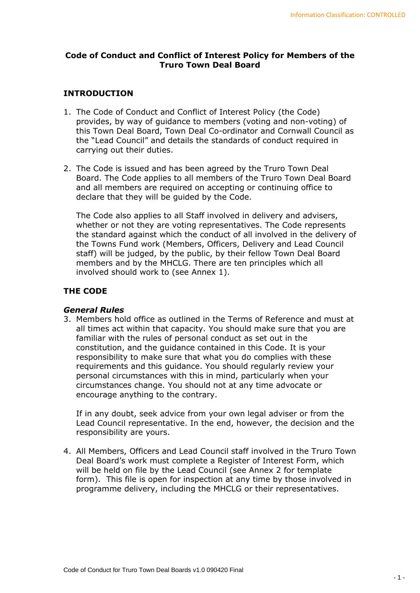### **Code of Conduct and Conflict of Interest Policy for Members of the Truro Town Deal Board**

### **INTRODUCTION**

- 1. The Code of Conduct and Conflict of Interest Policy (the Code) provides, by way of guidance to members (voting and non-voting) of this Town Deal Board, Town Deal Co-ordinator and Cornwall Council as the "Lead Council" and details the standards of conduct required in carrying out their duties.
- 2. The Code is issued and has been agreed by the Truro Town Deal Board. The Code applies to all members of the Truro Town Deal Board and all members are required on accepting or continuing office to declare that they will be guided by the Code.

The Code also applies to all Staff involved in delivery and advisers, whether or not they are voting representatives. The Code represents the standard against which the conduct of all involved in the delivery of the Towns Fund work (Members, Officers, Delivery and Lead Council staff) will be judged, by the public, by their fellow Town Deal Board members and by the MHCLG. There are ten principles which all involved should work to (see Annex 1).

### **THE CODE**

#### *General Rules*

3. Members hold office as outlined in the Terms of Reference and must at all times act within that capacity. You should make sure that you are familiar with the rules of personal conduct as set out in the constitution, and the guidance contained in this Code. It is your responsibility to make sure that what you do complies with these requirements and this guidance. You should regularly review your personal circumstances with this in mind, particularly when your circumstances change. You should not at any time advocate or encourage anything to the contrary.

If in any doubt, seek advice from your own legal adviser or from the Lead Council representative. In the end, however, the decision and the responsibility are yours.

4. All Members, Officers and Lead Council staff involved in the Truro Town Deal Board's work must complete a Register of Interest Form, which will be held on file by the Lead Council (see Annex 2 for template form). This file is open for inspection at any time by those involved in programme delivery, including the MHCLG or their representatives.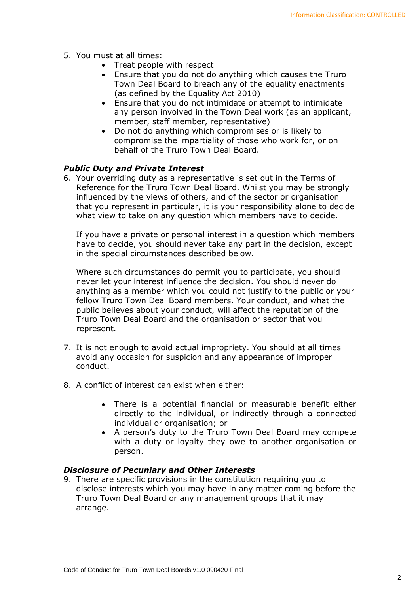- 5. You must at all times:
	- Treat people with respect
	- Ensure that you do not do anything which causes the Truro Town Deal Board to breach any of the equality enactments (as defined by the Equality Act 2010)
	- Ensure that you do not intimidate or attempt to intimidate any person involved in the Town Deal work (as an applicant, member, staff member, representative)
	- Do not do anything which compromises or is likely to compromise the impartiality of those who work for, or on behalf of the Truro Town Deal Board.

### *Public Duty and Private Interest*

6. Your overriding duty as a representative is set out in the Terms of Reference for the Truro Town Deal Board. Whilst you may be strongly influenced by the views of others, and of the sector or organisation that you represent in particular, it is your responsibility alone to decide what view to take on any question which members have to decide.

If you have a private or personal interest in a question which members have to decide, you should never take any part in the decision, except in the special circumstances described below.

Where such circumstances do permit you to participate, you should never let your interest influence the decision. You should never do anything as a member which you could not justify to the public or your fellow Truro Town Deal Board members. Your conduct, and what the public believes about your conduct, will affect the reputation of the Truro Town Deal Board and the organisation or sector that you represent.

- 7. It is not enough to avoid actual impropriety. You should at all times avoid any occasion for suspicion and any appearance of improper conduct.
- 8. A conflict of interest can exist when either:
	- There is a potential financial or measurable benefit either directly to the individual, or indirectly through a connected individual or organisation; or
	- A person's duty to the Truro Town Deal Board may compete with a duty or loyalty they owe to another organisation or person.

#### *Disclosure of Pecuniary and Other Interests*

9. There are specific provisions in the constitution requiring you to disclose interests which you may have in any matter coming before the Truro Town Deal Board or any management groups that it may arrange.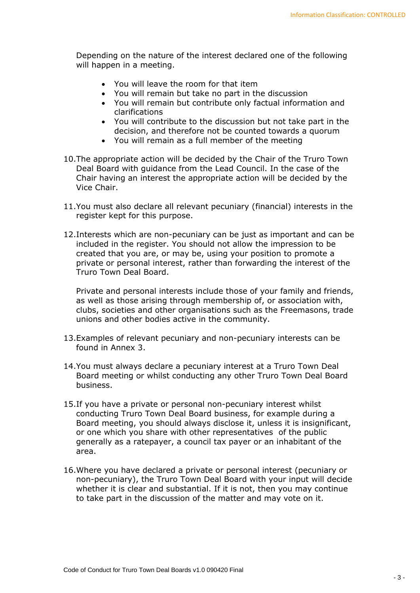Depending on the nature of the interest declared one of the following will happen in a meeting.

- You will leave the room for that item
- You will remain but take no part in the discussion
- You will remain but contribute only factual information and clarifications
- You will contribute to the discussion but not take part in the decision, and therefore not be counted towards a quorum
- You will remain as a full member of the meeting
- 10.The appropriate action will be decided by the Chair of the Truro Town Deal Board with guidance from the Lead Council. In the case of the Chair having an interest the appropriate action will be decided by the Vice Chair.
- 11.You must also declare all relevant pecuniary (financial) interests in the register kept for this purpose.
- 12.Interests which are non-pecuniary can be just as important and can be included in the register. You should not allow the impression to be created that you are, or may be, using your position to promote a private or personal interest, rather than forwarding the interest of the Truro Town Deal Board.

Private and personal interests include those of your family and friends, as well as those arising through membership of, or association with, clubs, societies and other organisations such as the Freemasons, trade unions and other bodies active in the community.

- 13.Examples of relevant pecuniary and non-pecuniary interests can be found in Annex 3.
- 14.You must always declare a pecuniary interest at a Truro Town Deal Board meeting or whilst conducting any other Truro Town Deal Board business.
- 15.If you have a private or personal non-pecuniary interest whilst conducting Truro Town Deal Board business, for example during a Board meeting, you should always disclose it, unless it is insignificant, or one which you share with other representatives of the public generally as a ratepayer, a council tax payer or an inhabitant of the area.
- 16.Where you have declared a private or personal interest (pecuniary or non-pecuniary), the Truro Town Deal Board with your input will decide whether it is clear and substantial. If it is not, then you may continue to take part in the discussion of the matter and may vote on it.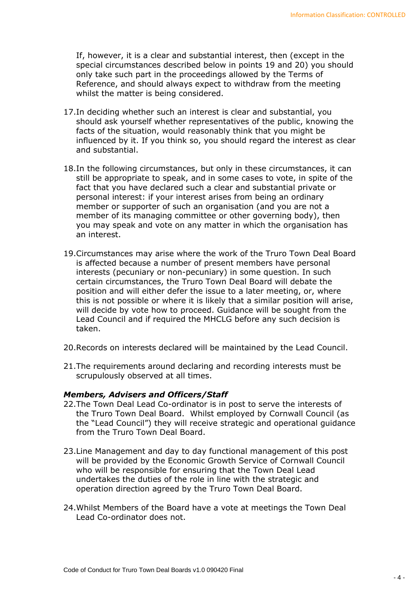If, however, it is a clear and substantial interest, then (except in the special circumstances described below in points 19 and 20) you should only take such part in the proceedings allowed by the Terms of Reference, and should always expect to withdraw from the meeting whilst the matter is being considered.

- 17.In deciding whether such an interest is clear and substantial, you should ask yourself whether representatives of the public, knowing the facts of the situation, would reasonably think that you might be influenced by it. If you think so, you should regard the interest as clear and substantial.
- 18.In the following circumstances, but only in these circumstances, it can still be appropriate to speak, and in some cases to vote, in spite of the fact that you have declared such a clear and substantial private or personal interest: if your interest arises from being an ordinary member or supporter of such an organisation (and you are not a member of its managing committee or other governing body), then you may speak and vote on any matter in which the organisation has an interest.
- 19.Circumstances may arise where the work of the Truro Town Deal Board is affected because a number of present members have personal interests (pecuniary or non-pecuniary) in some question. In such certain circumstances, the Truro Town Deal Board will debate the position and will either defer the issue to a later meeting, or, where this is not possible or where it is likely that a similar position will arise, will decide by vote how to proceed. Guidance will be sought from the Lead Council and if required the MHCLG before any such decision is taken.
- 20.Records on interests declared will be maintained by the Lead Council.
- 21.The requirements around declaring and recording interests must be scrupulously observed at all times.

#### *Members, Advisers and Officers/Staff*

- 22.The Town Deal Lead Co-ordinator is in post to serve the interests of the Truro Town Deal Board. Whilst employed by Cornwall Council (as the "Lead Council") they will receive strategic and operational guidance from the Truro Town Deal Board.
- 23.Line Management and day to day functional management of this post will be provided by the Economic Growth Service of Cornwall Council who will be responsible for ensuring that the Town Deal Lead undertakes the duties of the role in line with the strategic and operation direction agreed by the Truro Town Deal Board.
- 24.Whilst Members of the Board have a vote at meetings the Town Deal Lead Co-ordinator does not.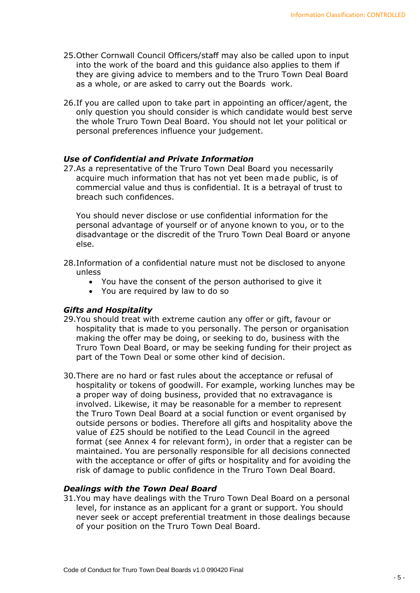- 25.Other Cornwall Council Officers/staff may also be called upon to input into the work of the board and this guidance also applies to them if they are giving advice to members and to the Truro Town Deal Board as a whole, or are asked to carry out the Boards work.
- 26.If you are called upon to take part in appointing an officer/agent, the only question you should consider is which candidate would best serve the whole Truro Town Deal Board. You should not let your political or personal preferences influence your judgement.

#### *Use of Confidential and Private Information*

27.As a representative of the Truro Town Deal Board you necessarily acquire much information that has not yet been made public, is of commercial value and thus is confidential. It is a betrayal of trust to breach such confidences.

You should never disclose or use confidential information for the personal advantage of yourself or of anyone known to you, or to the disadvantage or the discredit of the Truro Town Deal Board or anyone else.

- 28.Information of a confidential nature must not be disclosed to anyone unless
	- You have the consent of the person authorised to give it
	- You are required by law to do so

#### *Gifts and Hospitality*

- 29.You should treat with extreme caution any offer or gift, favour or hospitality that is made to you personally. The person or organisation making the offer may be doing, or seeking to do, business with the Truro Town Deal Board, or may be seeking funding for their project as part of the Town Deal or some other kind of decision.
- 30.There are no hard or fast rules about the acceptance or refusal of hospitality or tokens of goodwill. For example, working lunches may be a proper way of doing business, provided that no extravagance is involved. Likewise, it may be reasonable for a member to represent the Truro Town Deal Board at a social function or event organised by outside persons or bodies. Therefore all gifts and hospitality above the value of £25 should be notified to the Lead Council in the agreed format (see Annex 4 for relevant form), in order that a register can be maintained. You are personally responsible for all decisions connected with the acceptance or offer of gifts or hospitality and for avoiding the risk of damage to public confidence in the Truro Town Deal Board.

### *Dealings with the Town Deal Board*

31.You may have dealings with the Truro Town Deal Board on a personal level, for instance as an applicant for a grant or support. You should never seek or accept preferential treatment in those dealings because of your position on the Truro Town Deal Board.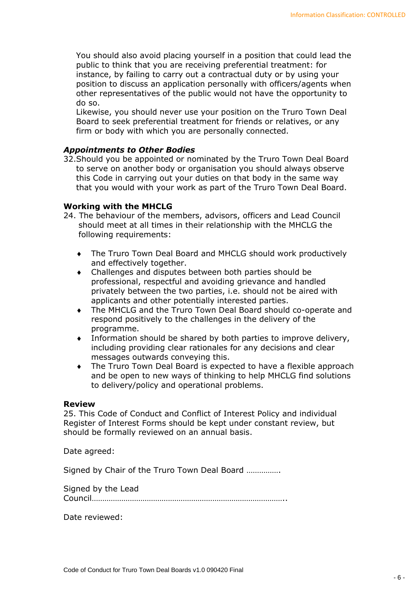You should also avoid placing yourself in a position that could lead the public to think that you are receiving preferential treatment: for instance, by failing to carry out a contractual duty or by using your position to discuss an application personally with officers/agents when other representatives of the public would not have the opportunity to do so.

Likewise, you should never use your position on the Truro Town Deal Board to seek preferential treatment for friends or relatives, or any firm or body with which you are personally connected.

### *Appointments to Other Bodies*

32.Should you be appointed or nominated by the Truro Town Deal Board to serve on another body or organisation you should always observe this Code in carrying out your duties on that body in the same way that you would with your work as part of the Truro Town Deal Board.

### **Working with the MHCLG**

- 24. The behaviour of the members, advisors, officers and Lead Council should meet at all times in their relationship with the MHCLG the following requirements:
	- The Truro Town Deal Board and MHCLG should work productively and effectively together.
	- Challenges and disputes between both parties should be professional, respectful and avoiding grievance and handled privately between the two parties, i.e. should not be aired with applicants and other potentially interested parties.
	- The MHCLG and the Truro Town Deal Board should co-operate and respond positively to the challenges in the delivery of the programme.
	- Information should be shared by both parties to improve delivery, including providing clear rationales for any decisions and clear messages outwards conveying this.
	- The Truro Town Deal Board is expected to have a flexible approach and be open to new ways of thinking to help MHCLG find solutions to delivery/policy and operational problems.

#### **Review**

25. This Code of Conduct and Conflict of Interest Policy and individual Register of Interest Forms should be kept under constant review, but should be formally reviewed on an annual basis.

Date agreed:

Signed by Chair of the Truro Town Deal Board …………….

Signed by the Lead Council………………………………………………………………………………..

Date reviewed: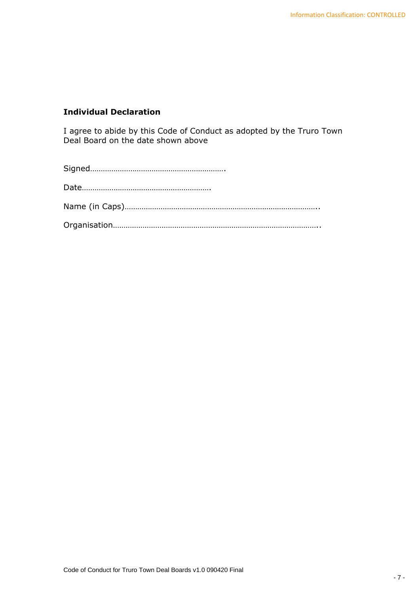# **Individual Declaration**

I agree to abide by this Code of Conduct as adopted by the Truro Town Deal Board on the date shown above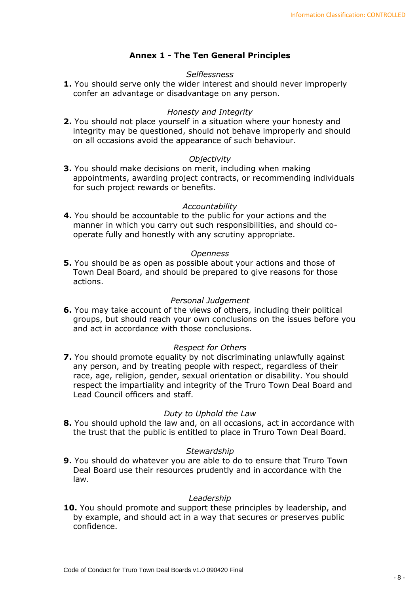# **Annex 1 - The Ten General Principles**

#### *Selflessness*

**1.** You should serve only the wider interest and should never improperly confer an advantage or disadvantage on any person.

#### *Honesty and Integrity*

**2.** You should not place yourself in a situation where your honesty and integrity may be questioned, should not behave improperly and should on all occasions avoid the appearance of such behaviour.

#### *Objectivity*

**3.** You should make decisions on merit, including when making appointments, awarding project contracts, or recommending individuals for such project rewards or benefits.

#### *Accountability*

**4.** You should be accountable to the public for your actions and the manner in which you carry out such responsibilities, and should cooperate fully and honestly with any scrutiny appropriate.

#### *Openness*

**5.** You should be as open as possible about your actions and those of Town Deal Board, and should be prepared to give reasons for those actions.

#### *Personal Judgement*

**6.** You may take account of the views of others, including their political groups, but should reach your own conclusions on the issues before you and act in accordance with those conclusions.

#### *Respect for Others*

**7.** You should promote equality by not discriminating unlawfully against any person, and by treating people with respect, regardless of their race, age, religion, gender, sexual orientation or disability. You should respect the impartiality and integrity of the Truro Town Deal Board and Lead Council officers and staff.

#### *Duty to Uphold the Law*

**8.** You should uphold the law and, on all occasions, act in accordance with the trust that the public is entitled to place in Truro Town Deal Board.

#### *Stewardship*

**9.** You should do whatever you are able to do to ensure that Truro Town Deal Board use their resources prudently and in accordance with the law.

#### *Leadership*

**10.** You should promote and support these principles by leadership, and by example, and should act in a way that secures or preserves public confidence.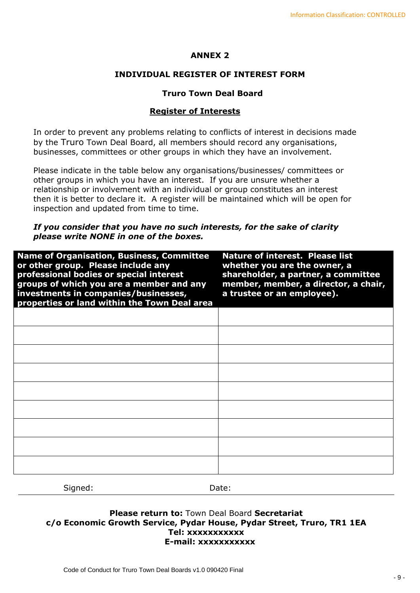### **ANNEX 2**

### **INDIVIDUAL REGISTER OF INTEREST FORM**

#### **Truro Town Deal Board**

### **Register of Interests**

In order to prevent any problems relating to conflicts of interest in decisions made by the Truro Town Deal Board, all members should record any organisations, businesses, committees or other groups in which they have an involvement.

Please indicate in the table below any organisations/businesses/ committees or other groups in which you have an interest. If you are unsure whether a relationship or involvement with an individual or group constitutes an interest then it is better to declare it. A register will be maintained which will be open for inspection and updated from time to time.

#### *If you consider that you have no such interests, for the sake of clarity please write NONE in one of the boxes.*

| <b>Name of Organisation, Business, Committee</b><br>or other group. Please include any<br>professional bodies or special interest<br>groups of which you are a member and any<br>investments in companies/businesses,<br>properties or land within the Town Deal area | <b>Nature of interest. Please list</b><br>whether you are the owner, a<br>shareholder, a partner, a committee<br>member, member, a director, a chair,<br>a trustee or an employee). |
|-----------------------------------------------------------------------------------------------------------------------------------------------------------------------------------------------------------------------------------------------------------------------|-------------------------------------------------------------------------------------------------------------------------------------------------------------------------------------|
|                                                                                                                                                                                                                                                                       |                                                                                                                                                                                     |
|                                                                                                                                                                                                                                                                       |                                                                                                                                                                                     |
|                                                                                                                                                                                                                                                                       |                                                                                                                                                                                     |
|                                                                                                                                                                                                                                                                       |                                                                                                                                                                                     |
|                                                                                                                                                                                                                                                                       |                                                                                                                                                                                     |
|                                                                                                                                                                                                                                                                       |                                                                                                                                                                                     |
|                                                                                                                                                                                                                                                                       |                                                                                                                                                                                     |
|                                                                                                                                                                                                                                                                       |                                                                                                                                                                                     |
|                                                                                                                                                                                                                                                                       |                                                                                                                                                                                     |

Signed: Date:

### **Please return to:** Town Deal Board **Secretariat c/o Economic Growth Service, Pydar House, Pydar Street, Truro, TR1 1EA Tel: xxxxxxxxxxx E-mail: xxxxxxxxxxx**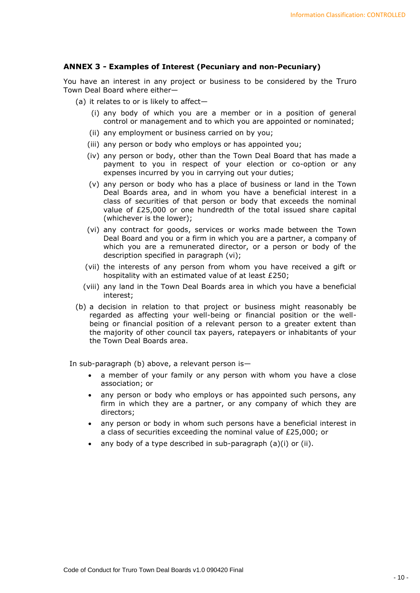#### **ANNEX 3 - Examples of Interest (Pecuniary and non-Pecuniary)**

You have an interest in any project or business to be considered by the Truro Town Deal Board where either—

- (a) it relates to or is likely to affect—
	- (i) any body of which you are a member or in a position of general control or management and to which you are appointed or nominated;
	- (ii) any employment or business carried on by you;
	- (iii) any person or body who employs or has appointed you;
	- (iv) any person or body, other than the Town Deal Board that has made a payment to you in respect of your election or co-option or any expenses incurred by you in carrying out your duties;
	- (v) any person or body who has a place of business or land in the Town Deal Boards area, and in whom you have a beneficial interest in a class of securities of that person or body that exceeds the nominal value of £25,000 or one hundredth of the total issued share capital (whichever is the lower);
	- (vi) any contract for goods, services or works made between the Town Deal Board and you or a firm in which you are a partner, a company of which you are a remunerated director, or a person or body of the description specified in paragraph (vi);
	- (vii) the interests of any person from whom you have received a gift or hospitality with an estimated value of at least £250;
	- (viii) any land in the Town Deal Boards area in which you have a beneficial interest;
- (b) a decision in relation to that project or business might reasonably be regarded as affecting your well-being or financial position or the wellbeing or financial position of a relevant person to a greater extent than the majority of other council tax payers, ratepayers or inhabitants of your the Town Deal Boards area.

In sub-paragraph (b) above, a relevant person is—

- a member of your family or any person with whom you have a close association; or
- any person or body who employs or has appointed such persons, any firm in which they are a partner, or any company of which they are directors;
- any person or body in whom such persons have a beneficial interest in a class of securities exceeding the nominal value of £25,000; or
- any body of a type described in sub-paragraph  $(a)(i)$  or  $(ii)$ .